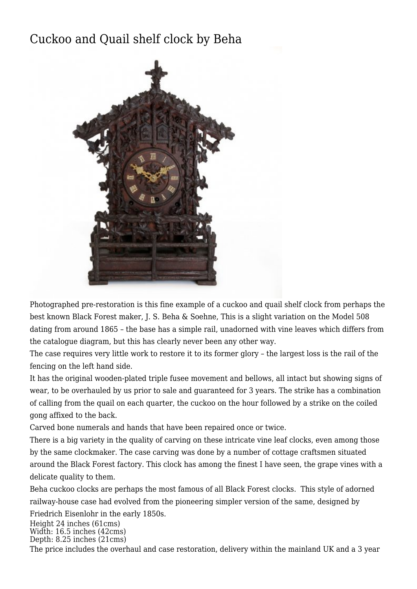## [Cuckoo and Quail shelf clock by Beha](http://www.ukclocks.com/products/cuckoo-and-quail-shelf-clock-by-beha/)



Photographed pre-restoration is this fine example of a cuckoo and quail shelf clock from perhaps the best known Black Forest maker, J. S. Beha & Soehne, This is a slight variation on the Model 508 dating from around 1865 – the base has a simple rail, unadorned with vine leaves which differs from the catalogue diagram, but this has clearly never been any other way.

The case requires very little work to restore it to its former glory – the largest loss is the rail of the fencing on the left hand side.

It has the original wooden-plated triple fusee movement and bellows, all intact but showing signs of wear, to be overhauled by us prior to sale and guaranteed for 3 years. The strike has a combination of calling from the quail on each quarter, the cuckoo on the hour followed by a strike on the coiled gong affixed to the back.

Carved bone numerals and hands that have been repaired once or twice.

There is a big variety in the quality of carving on these intricate vine leaf clocks, even among those by the same clockmaker. The case carving was done by a number of cottage craftsmen situated around the Black Forest factory. This clock has among the finest I have seen, the grape vines with a delicate quality to them.

Beha cuckoo clocks are perhaps the most famous of all Black Forest clocks. This style of adorned railway-house case had evolved from the pioneering simpler version of the same, designed by

Friedrich Eisenlohr in the early 1850s.

Height 24 inches (61cms) Width: 16.5 inches (42cms) Depth: 8.25 inches (21cms)

The price includes the overhaul and case restoration, delivery within the mainland UK and a 3 year